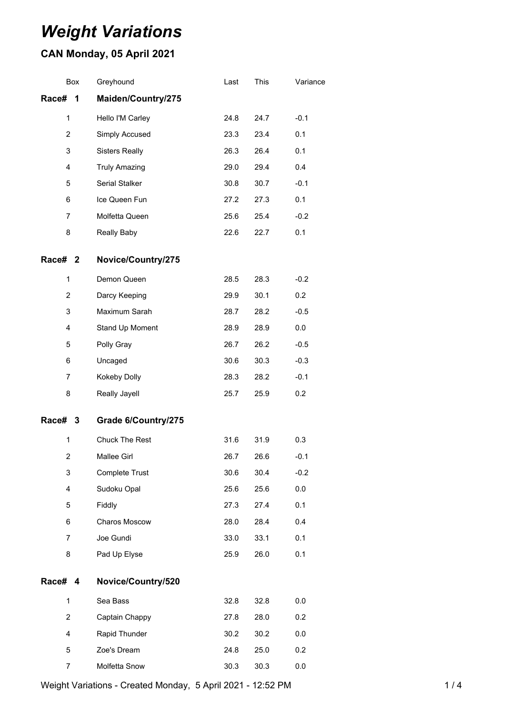# *Weight Variations*

## **CAN Monday, 05 April 2021**

|                | Box | Greyhound             | Last | This | Variance |
|----------------|-----|-----------------------|------|------|----------|
| Race# 1        |     | Maiden/Country/275    |      |      |          |
| 1              |     | Hello I'M Carley      | 24.8 | 24.7 | $-0.1$   |
| 2              |     | Simply Accused        | 23.3 | 23.4 | 0.1      |
| 3              |     | <b>Sisters Really</b> | 26.3 | 26.4 | 0.1      |
| 4              |     | <b>Truly Amazing</b>  | 29.0 | 29.4 | 0.4      |
| 5              |     | Serial Stalker        | 30.8 | 30.7 | $-0.1$   |
| 6              |     | Ice Queen Fun         | 27.2 | 27.3 | 0.1      |
| $\overline{7}$ |     | Molfetta Queen        | 25.6 | 25.4 | $-0.2$   |
| 8              |     | Really Baby           | 22.6 | 22.7 | 0.1      |
| Race# 2        |     | Novice/Country/275    |      |      |          |
| 1              |     | Demon Queen           | 28.5 | 28.3 | $-0.2$   |
| $\overline{2}$ |     | Darcy Keeping         | 29.9 | 30.1 | 0.2      |
| 3              |     | Maximum Sarah         | 28.7 | 28.2 | $-0.5$   |
| 4              |     | Stand Up Moment       | 28.9 | 28.9 | 0.0      |
| 5              |     | Polly Gray            | 26.7 | 26.2 | $-0.5$   |
| 6              |     | Uncaged               | 30.6 | 30.3 | $-0.3$   |
| $\overline{7}$ |     | Kokeby Dolly          | 28.3 | 28.2 | $-0.1$   |
| 8              |     | Really Jayell         | 25.7 | 25.9 | 0.2      |
| Race# 3        |     | Grade 6/Country/275   |      |      |          |
| $\mathbf{1}$   |     | <b>Chuck The Rest</b> | 31.6 | 31.9 | 0.3      |
| $\overline{2}$ |     | <b>Mallee Girl</b>    | 26.7 | 26.6 | $-0.1$   |
| 3              |     | Complete Trust        | 30.6 | 30.4 | $-0.2$   |
| 4              |     | Sudoku Opal           | 25.6 | 25.6 | 0.0      |
| 5              |     | Fiddly                | 27.3 | 27.4 | 0.1      |
| 6              |     | Charos Moscow         | 28.0 | 28.4 | 0.4      |
| $\overline{7}$ |     | Joe Gundi             | 33.0 | 33.1 | 0.1      |
| 8              |     | Pad Up Elyse          | 25.9 | 26.0 | 0.1      |
| Race# 4        |     | Novice/Country/520    |      |      |          |
| $\mathbf{1}$   |     | Sea Bass              | 32.8 | 32.8 | 0.0      |
| $\overline{2}$ |     | Captain Chappy        | 27.8 | 28.0 | 0.2      |
| 4              |     | Rapid Thunder         | 30.2 | 30.2 | 0.0      |
| 5              |     | Zoe's Dream           | 24.8 | 25.0 | 0.2      |
| 7              |     | Molfetta Snow         | 30.3 | 30.3 | 0.0      |

Weight Variations - Created Monday, 5 April 2021 - 12:52 PM 1/4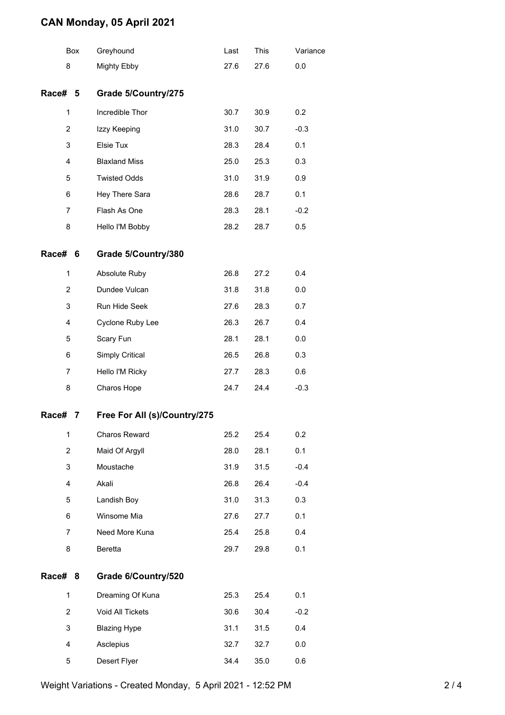### **CAN Monday, 05 April 2021**

|                | Box | Greyhound                    | Last | This | Variance |
|----------------|-----|------------------------------|------|------|----------|
| 8              |     | Mighty Ebby                  | 27.6 | 27.6 | 0.0      |
| Race# 5        |     | Grade 5/Country/275          |      |      |          |
| $\mathbf{1}$   |     | Incredible Thor              | 30.7 | 30.9 | 0.2      |
| 2              |     | Izzy Keeping                 | 31.0 | 30.7 | $-0.3$   |
| 3              |     | Elsie Tux                    | 28.3 | 28.4 | 0.1      |
| 4              |     | <b>Blaxland Miss</b>         | 25.0 | 25.3 | 0.3      |
| 5              |     | <b>Twisted Odds</b>          | 31.0 | 31.9 | 0.9      |
| 6              |     | Hey There Sara               | 28.6 | 28.7 | 0.1      |
| 7              |     | Flash As One                 | 28.3 | 28.1 | $-0.2$   |
| 8              |     | Hello I'M Bobby              | 28.2 | 28.7 | 0.5      |
| Race#          | 6   | Grade 5/Country/380          |      |      |          |
| 1              |     | Absolute Ruby                | 26.8 | 27.2 | 0.4      |
| $\overline{2}$ |     | Dundee Vulcan                | 31.8 | 31.8 | 0.0      |
| 3              |     | Run Hide Seek                | 27.6 | 28.3 | 0.7      |
| 4              |     | Cyclone Ruby Lee             | 26.3 | 26.7 | 0.4      |
| 5              |     | Scary Fun                    | 28.1 | 28.1 | 0.0      |
| 6              |     | Simply Critical              | 26.5 | 26.8 | 0.3      |
| 7              |     | Hello I'M Ricky              | 27.7 | 28.3 | 0.6      |
| 8              |     | Charos Hope                  | 24.7 | 24.4 | $-0.3$   |
| Race#          | 7   | Free For All (s)/Country/275 |      |      |          |
| $\mathbf{1}$   |     | Charos Reward                | 25.2 | 25.4 | 0.2      |
| 2              |     | Maid Of Argyll               | 28.0 | 28.1 | 0.1      |
| 3              |     | Moustache                    | 31.9 | 31.5 | $-0.4$   |
| 4              |     | Akali                        | 26.8 | 26.4 | $-0.4$   |
| 5              |     | Landish Boy                  | 31.0 | 31.3 | 0.3      |
| 6              |     | Winsome Mia                  | 27.6 | 27.7 | 0.1      |
| 7              |     | Need More Kuna               | 25.4 | 25.8 | 0.4      |
| 8              |     | Beretta                      | 29.7 | 29.8 | 0.1      |
| Race# 8        |     | Grade 6/Country/520          |      |      |          |
| $\mathbf{1}$   |     | Dreaming Of Kuna             | 25.3 | 25.4 | 0.1      |
| 2              |     | Void All Tickets             | 30.6 | 30.4 | $-0.2$   |
| 3              |     | <b>Blazing Hype</b>          | 31.1 | 31.5 | 0.4      |
| 4              |     | Asclepius                    | 32.7 | 32.7 | 0.0      |
| 5              |     | Desert Flyer                 | 34.4 | 35.0 | 0.6      |

Weight Variations - Created Monday, 5 April 2021 - 12:52 PM 2/4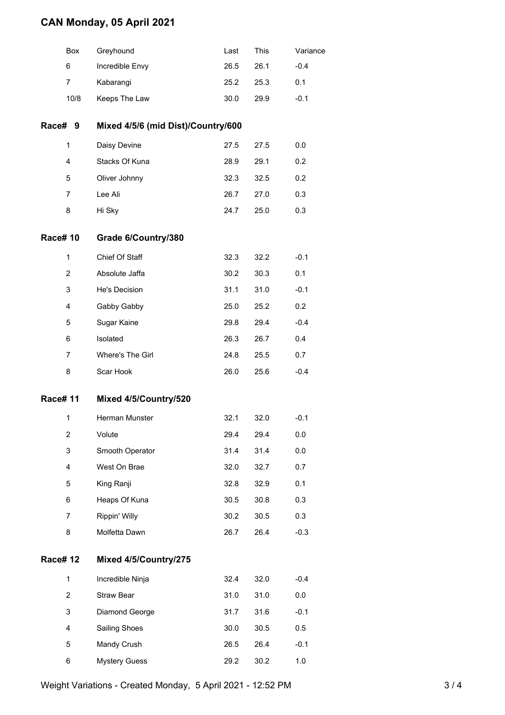### **CAN Monday, 05 April 2021**

|                | Box            | Greyhound                          | Last | This | Variance |  |  |
|----------------|----------------|------------------------------------|------|------|----------|--|--|
|                | 6              | Incredible Envy                    | 26.5 | 26.1 | $-0.4$   |  |  |
|                | 7              | Kabarangi                          | 25.2 | 25.3 | 0.1      |  |  |
|                | 10/8           | Keeps The Law                      | 30.0 | 29.9 | $-0.1$   |  |  |
| Race# 9        |                | Mixed 4/5/6 (mid Dist)/Country/600 |      |      |          |  |  |
|                | 1              | Daisy Devine                       | 27.5 | 27.5 | 0.0      |  |  |
|                | 4              | Stacks Of Kuna                     | 28.9 | 29.1 | 0.2      |  |  |
|                | 5              | Oliver Johnny                      | 32.3 | 32.5 | 0.2      |  |  |
|                | $\overline{7}$ | Lee Ali                            | 26.7 | 27.0 | 0.3      |  |  |
|                | 8              | Hi Sky                             | 24.7 | 25.0 | 0.3      |  |  |
| <b>Race#10</b> |                | Grade 6/Country/380                |      |      |          |  |  |
|                | 1              | Chief Of Staff                     | 32.3 | 32.2 | $-0.1$   |  |  |
|                | $\overline{2}$ | Absolute Jaffa                     | 30.2 | 30.3 | 0.1      |  |  |
|                | 3              | He's Decision                      | 31.1 | 31.0 | $-0.1$   |  |  |
|                | 4              | Gabby Gabby                        | 25.0 | 25.2 | 0.2      |  |  |
|                | 5              | Sugar Kaine                        | 29.8 | 29.4 | $-0.4$   |  |  |
|                | 6              | Isolated                           | 26.3 | 26.7 | 0.4      |  |  |
|                | 7              | Where's The Girl                   | 24.8 | 25.5 | 0.7      |  |  |
|                | 8              | Scar Hook                          | 26.0 | 25.6 | $-0.4$   |  |  |
| <b>Race#11</b> |                | Mixed 4/5/Country/520              |      |      |          |  |  |
|                | 1              | Herman Munster                     | 32.1 | 32.0 | $-0.1$   |  |  |
|                | 2              | Volute                             | 29.4 | 29.4 | 0.0      |  |  |
|                | 3              | Smooth Operator                    | 31.4 | 31.4 | 0.0      |  |  |
|                | 4              | West On Brae                       | 32.0 | 32.7 | 0.7      |  |  |
|                | 5              | King Ranji                         | 32.8 | 32.9 | 0.1      |  |  |
|                | 6              | Heaps Of Kuna                      | 30.5 | 30.8 | 0.3      |  |  |
|                | $\overline{7}$ | Rippin' Willy                      | 30.2 | 30.5 | 0.3      |  |  |
|                | 8              | Molfetta Dawn                      | 26.7 | 26.4 | $-0.3$   |  |  |
| <b>Race#12</b> |                | Mixed 4/5/Country/275              |      |      |          |  |  |
|                | $\mathbf{1}$   | Incredible Ninja                   | 32.4 | 32.0 | $-0.4$   |  |  |
|                | 2              | Straw Bear                         | 31.0 | 31.0 | 0.0      |  |  |
|                | 3              | Diamond George                     | 31.7 | 31.6 | $-0.1$   |  |  |
|                | 4              | Sailing Shoes                      | 30.0 | 30.5 | 0.5      |  |  |
|                | 5              | Mandy Crush                        | 26.5 | 26.4 | $-0.1$   |  |  |
|                | 6              | <b>Mystery Guess</b>               | 29.2 | 30.2 | 1.0      |  |  |